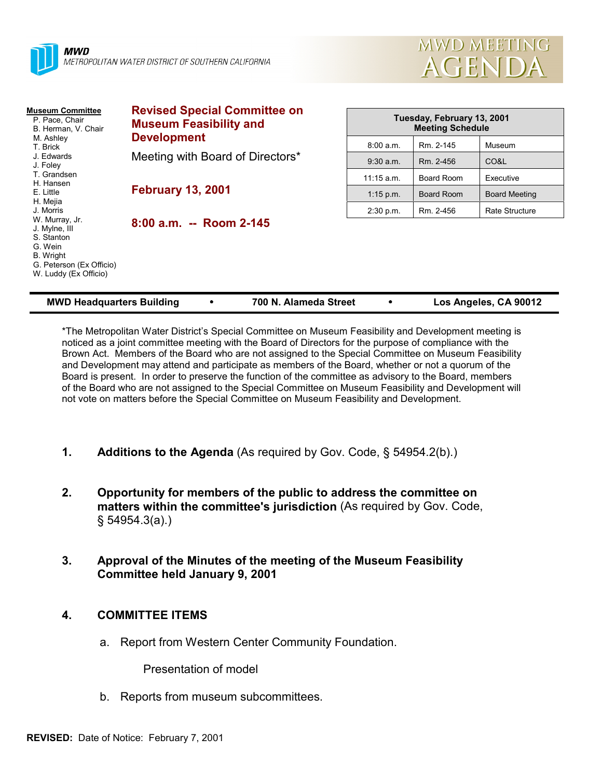



| <b>Museum Committee</b><br>P. Pace, Chair<br>B. Herman, V. Chair<br>M. Ashley<br>T. Brick<br>J. Edwards<br>J. Foley<br>T. Grandsen<br>H. Hansen<br>E. Little | <b>Revised Special Committee on</b><br><b>Museum Feasibility and</b><br><b>Development</b><br>Meeting with Board of Directors* | Tuesday, February 13, 2001<br><b>Meeting Schedule</b> |            |                      |
|--------------------------------------------------------------------------------------------------------------------------------------------------------------|--------------------------------------------------------------------------------------------------------------------------------|-------------------------------------------------------|------------|----------------------|
|                                                                                                                                                              |                                                                                                                                | 8:00 a.m.                                             | Rm. 2-145  | Museum               |
|                                                                                                                                                              |                                                                                                                                | $9:30$ a.m.                                           | Rm. 2-456  | CO&L                 |
|                                                                                                                                                              | <b>February 13, 2001</b>                                                                                                       | $11:15$ a.m.                                          | Board Room | Executive            |
|                                                                                                                                                              |                                                                                                                                | $1:15$ p.m.                                           | Board Room | <b>Board Meeting</b> |
| H. Mejia<br>J. Morris                                                                                                                                        |                                                                                                                                | 2:30 p.m.                                             | Rm. 2-456  | Rate Structure       |
| W. Murray, Jr.<br>J. Mylne, III<br>S. Stanton<br>G. Wein<br>B. Wright<br>G. Peterson (Ex Officio)<br>W. Luddy (Ex Officio)                                   | 8:00 a.m. -- Room 2-145                                                                                                        |                                                       |            |                      |

| <b>MWD Headquarters Building</b> |  | 700 N. Alameda Street |  | Los Angeles, CA 90012 |
|----------------------------------|--|-----------------------|--|-----------------------|
|----------------------------------|--|-----------------------|--|-----------------------|

\*The Metropolitan Water District's Special Committee on Museum Feasibility and Development meeting is noticed as a joint committee meeting with the Board of Directors for the purpose of compliance with the Brown Act. Members of the Board who are not assigned to the Special Committee on Museum Feasibility and Development may attend and participate as members of the Board, whether or not a quorum of the Board is present. In order to preserve the function of the committee as advisory to the Board, members of the Board who are not assigned to the Special Committee on Museum Feasibility and Development will not vote on matters before the Special Committee on Museum Feasibility and Development.

- **1. Additions to the Agenda** (As required by Gov. Code, § 54954.2(b).)
- **2. Opportunity for members of the public to address the committee on matters within the committee's jurisdiction** (As required by Gov. Code, § 54954.3(a).)
- **3. Approval of the Minutes of the meeting of the Museum Feasibility Committee held January 9, 2001**

## **4. COMMITTEE ITEMS**

a. Report from Western Center Community Foundation.

Presentation of model

b. Reports from museum subcommittees.